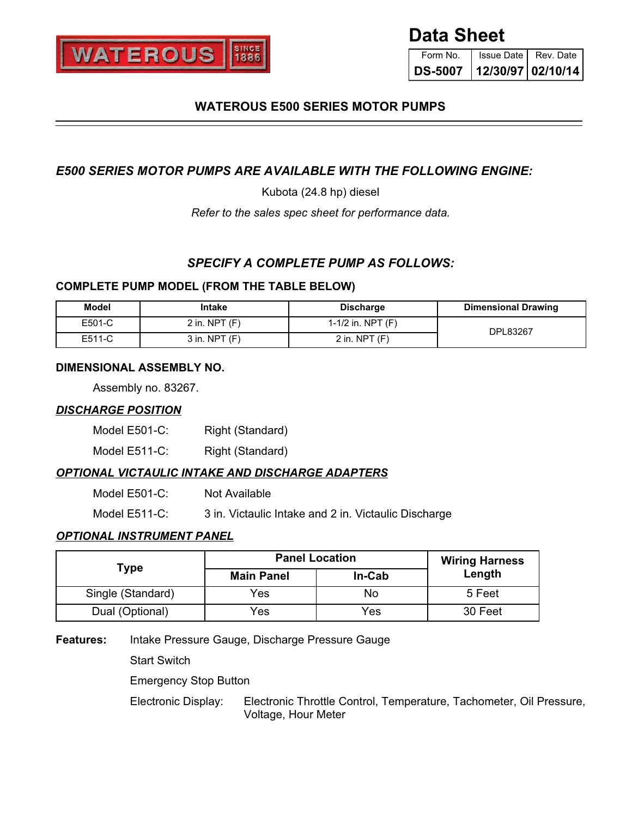

# **Data Sheet**

Form No. **DS-5007** Issue Date | Rev. Date **12/30/97 02/10/14**

## **WATEROUS E500 SERIES MOTOR PUMPS**

## *E500 SERIES MOTOR PUMPS ARE AVAILABLE WITH THE FOLLOWING ENGINE:*

Kubota (24.8 hp) diesel

*Refer to the sales spec sheet for performance data.*

### *SPECIFY A COMPLETE PUMP AS FOLLOWS:*

#### **COMPLETE PUMP MODEL (FROM THE TABLE BELOW)**

| Model  | Intake          | <b>Discharge</b>    | <b>Dimensional Drawing</b> |
|--------|-----------------|---------------------|----------------------------|
| E501-C | 2 in. NPT $(F)$ | 1-1/2 in. NPT $(F)$ | DPL83267                   |
| E511-C | 3 in. NPT (F)   | 2 in. NPT $(F)$     |                            |

#### **DIMENSIONAL ASSEMBLY NO.**

Assembly no. 83267.

#### *DISCHARGE POSITION*

Model E501-C: Right (Standard)

Model E511-C: Right (Standard)

#### *OPTIONAL VICTAULIC INTAKE AND DISCHARGE ADAPTERS*

| Model E501-C: | Not Available |
|---------------|---------------|
|---------------|---------------|

Model E511-C: 3 in. Victaulic Intake and 2 in. Victaulic Discharge

#### *OPTIONAL INSTRUMENT PANEL*

|                   | <b>Panel Location</b> |        | <b>Wiring Harness</b> |  |
|-------------------|-----------------------|--------|-----------------------|--|
| Type              | <b>Main Panel</b>     | In-Cab | Length                |  |
| Single (Standard) | Yes                   | No     | 5 Feet                |  |
| Dual (Optional)   | Yes                   | Yes    | 30 Feet               |  |

**Features:** Intake Pressure Gauge, Discharge Pressure Gauge

Start Switch

Emergency Stop Button

Electronic Display: Electronic Throttle Control, Temperature, Tachometer, Oil Pressure, Voltage, Hour Meter